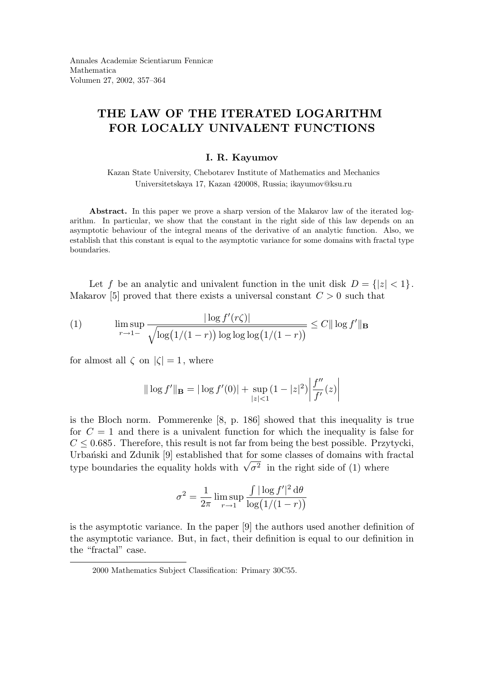## THE LAW OF THE ITERATED LOGARITHM FOR LOCALLY UNIVALENT FUNCTIONS

## I. R. Kayumov

Kazan State University, Chebotarev Institute of Mathematics and Mechanics Universitetskaya 17, Kazan 420008, Russia; ikayumov@ksu.ru

Abstract. In this paper we prove a sharp version of the Makarov law of the iterated logarithm. In particular, we show that the constant in the right side of this law depends on an asymptotic behaviour of the integral means of the derivative of an analytic function. Also, we establish that this constant is equal to the asymptotic variance for some domains with fractal type boundaries.

Let f be an analytic and univalent function in the unit disk  $D = \{|z| < 1\}$ . Makarov [5] proved that there exists a universal constant  $C > 0$  such that

(1) 
$$
\limsup_{r \to 1^{-}} \frac{|\log f'(r\zeta)|}{\sqrt{\log(1/(1-r)) \log \log \log(1/(1-r))}} \leq C ||\log f'||_{\mathbf{B}}
$$

for almost all  $\zeta$  on  $|\zeta| = 1$ , where

$$
\|\log f'\|_{\mathbf{B}} = |\log f'(0)| + \sup_{|z| < 1} (1 - |z|^2) \left| \frac{f''}{f'}(z) \right|
$$

is the Bloch norm. Pommerenke [8, p. 186] showed that this inequality is true for  $C = 1$  and there is a univalent function for which the inequality is false for  $C \leq 0.685$ . Therefore, this result is not far from being the best possible. Przytycki, Urbanski and Zdunik [9] established that for some classes of domains with fractal type boundaries the equality holds with  $\sqrt{\sigma^2}$  in the right side of (1) where

$$
\sigma^2 = \frac{1}{2\pi} \limsup_{r \to 1} \frac{\int |\log f'|^2 d\theta}{\log(1/(1-r))}
$$

is the asymptotic variance. In the paper [9] the authors used another definition of the asymptotic variance. But, in fact, their definition is equal to our definition in the "fractal" case.

<sup>2000</sup> Mathematics Subject Classification: Primary 30C55.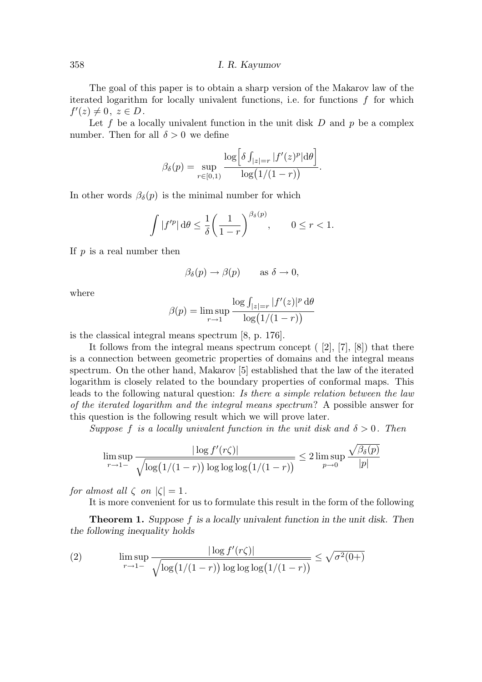## 358 I. R. Kayumov

The goal of this paper is to obtain a sharp version of the Makarov law of the iterated logarithm for locally univalent functions, i.e. for functions  $f$  for which  $f'(z)\neq 0, z\in D.$ 

Let f be a locally univalent function in the unit disk  $D$  and  $p$  be a complex number. Then for all  $\delta > 0$  we define

$$
\beta_{\delta}(p) = \sup_{r \in [0,1)} \frac{\log \left[ \delta \int_{|z|=r} |f'(z)^p| d\theta \right]}{\log(1/(1-r))}.
$$

In other words  $\beta_{\delta}(p)$  is the minimal number for which

$$
\int |f'^p| \,d\theta \le \frac{1}{\delta} \left(\frac{1}{1-r}\right)^{\beta_\delta(p)}, \qquad 0 \le r < 1.
$$

If  $p$  is a real number then

$$
\beta_{\delta}(p) \to \beta(p) \quad \text{as } \delta \to 0,
$$

where

$$
\beta(p) = \limsup_{r \to 1} \frac{\log \int_{|z|=r} |f'(z)|^p d\theta}{\log(1/(1-r))}
$$

is the classical integral means spectrum [8, p. 176].

It follows from the integral means spectrum concept  $([2], [7], [8])$  that there is a connection between geometric properties of domains and the integral means spectrum. On the other hand, Makarov [5] established that the law of the iterated logarithm is closely related to the boundary properties of conformal maps. This leads to the following natural question: Is there a simple relation between the law of the iterated logarithm and the integral means spectrum? A possible answer for this question is the following result which we will prove later.

Suppose f is a locally univalent function in the unit disk and  $\delta > 0$ . Then

$$
\limsup_{r \to 1^-} \frac{|\log f'(r\zeta)|}{\sqrt{\log(1/(1-r))\log\log\log(1/(1-r))}} \le 2 \limsup_{p \to 0} \frac{\sqrt{\beta_{\delta}(p)}}{|p|}
$$

for almost all  $\zeta$  on  $|\zeta| = 1$ .

It is more convenient for us to formulate this result in the form of the following

Theorem 1. Suppose f is a locally univalent function in the unit disk. Then the following inequality holds

(2) 
$$
\limsup_{r \to 1^-} \frac{|\log f'(r\zeta)|}{\sqrt{\log(1/(1-r)) \log \log \log (1/(1-r))}} \leq \sqrt{\sigma^2(0+)}
$$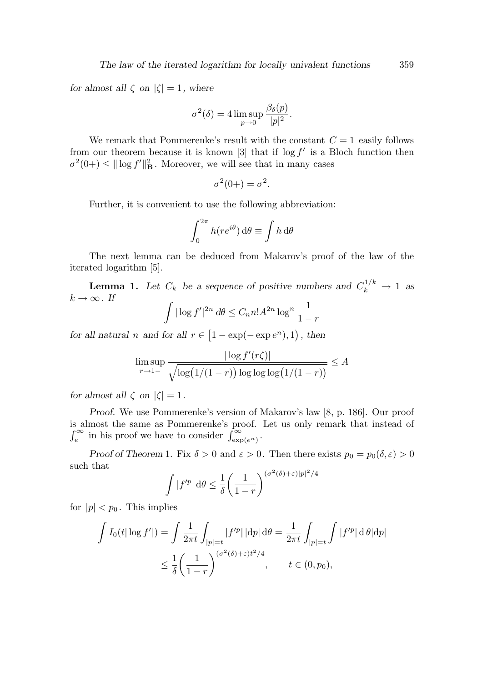for almost all  $\zeta$  on  $|\zeta| = 1$ , where

$$
\sigma^{2}(\delta) = 4 \limsup_{p \to 0} \frac{\beta_{\delta}(p)}{|p|^{2}}.
$$

We remark that Pommerenke's result with the constant  $C = 1$  easily follows from our theorem because it is known [3] that if  $\log f'$  is a Bloch function then  $\sigma^2(0+) \leq ||\log f'||^2_{\mathbf{B}}$ . Moreover, we will see that in many cases

$$
\sigma^2(0+) = \sigma^2.
$$

Further, it is convenient to use the following abbreviation:

$$
\int_0^{2\pi} h(re^{i\theta}) \,d\theta \equiv \int h \,d\theta
$$

The next lemma can be deduced from Makarov's proof of the law of the iterated logarithm [5].

**Lemma 1.** Let  $C_k$  be a sequence of positive numbers and  $C_k^{1/k} \to 1$  as  $k \to \infty$ . If Z

$$
\int |\log f'|^{2n} d\theta \le C_n n! A^{2n} \log^n \frac{1}{1-r}
$$

for all natural n and for all  $r \in [1 - \exp(-\exp e^n), 1)$ , then

$$
\limsup_{r \to 1^-} \frac{|\log f'(r\zeta)|}{\sqrt{\log(1/(1-r))\log\log\log(1/(1-r))}} \le A
$$

for almost all  $\zeta$  on  $|\zeta| = 1$ .

Proof. We use Pommerenke's version of Makarov's law [8, p. 186]. Our proof is almost the same as Pommerenke's proof. Let us only remark that instead of  $\int_{e}^{\infty}$  in his proof we have to consider  $\int_{\exp(e^n)}^{\infty}$ .

Proof of Theorem 1. Fix  $\delta > 0$  and  $\varepsilon > 0$ . Then there exists  $p_0 = p_0(\delta, \varepsilon) > 0$ such that 2

$$
\int |f'^p| \, \mathrm{d}\theta \le \frac{1}{\delta} \left(\frac{1}{1-r}\right)^{(\sigma^2(\delta)+\varepsilon)|p|^2/4}
$$

for  $|p| < p_0$ . This implies

$$
\int I_0(t|\log f'|) = \int \frac{1}{2\pi t} \int_{|p|=t} |f'^p| \, |\mathrm{d}p| \, \mathrm{d}\theta = \frac{1}{2\pi t} \int_{|p|=t} \int |f'^p| \, \mathrm{d}\theta |\mathrm{d}p|
$$
\n
$$
\leq \frac{1}{\delta} \left(\frac{1}{1-r}\right)^{(\sigma^2(\delta)+\varepsilon)t^2/4}, \qquad t \in (0, p_0),
$$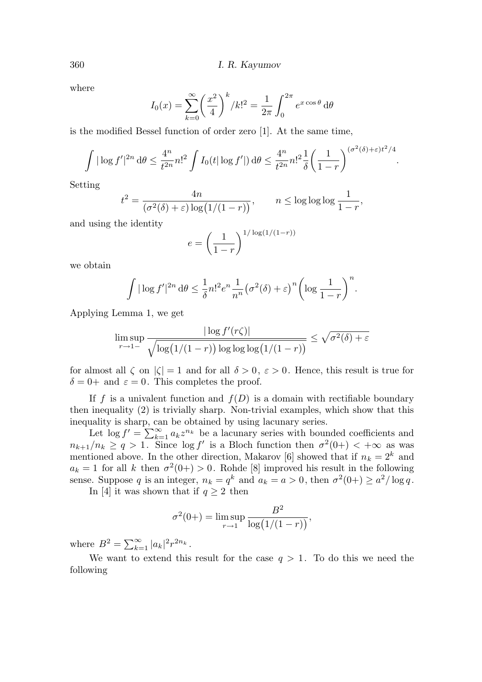where

$$
I_0(x) = \sum_{k=0}^{\infty} \left(\frac{x^2}{4}\right)^k / k!^2 = \frac{1}{2\pi} \int_0^{2\pi} e^{x \cos \theta} d\theta
$$

is the modified Bessel function of order zero [1]. At the same time,

$$
\int |\log f'|^{2n} d\theta \le \frac{4^n}{t^{2n}} n!^2 \int I_0(t |\log f'|) d\theta \le \frac{4^n}{t^{2n}} n!^2 \frac{1}{\delta} \left(\frac{1}{1-r}\right)^{(\sigma^2(\delta)+\varepsilon)t^2/4}.
$$

Setting

$$
t^{2} = \frac{4n}{(\sigma^{2}(\delta) + \varepsilon) \log(1/(1-r))}, \qquad n \le \log \log \log \frac{1}{1-r},
$$

and using the identity

$$
e = \left(\frac{1}{1-r}\right)^{1/\log(1/(1-r))}
$$

we obtain

$$
\int |\log f'|^{2n} d\theta \le \frac{1}{\delta} n!^2 e^n \frac{1}{n^n} (\sigma^2(\delta) + \varepsilon)^n \left( \log \frac{1}{1-r} \right)^n.
$$

Applying Lemma 1, we get

$$
\limsup_{r \to 1^-} \frac{|\log f'(r\zeta)|}{\sqrt{\log(1/(1-r)) \log \log \log (1/(1-r))}} \le \sqrt{\sigma^2(\delta) + \varepsilon}
$$

for almost all  $\zeta$  on  $|\zeta| = 1$  and for all  $\delta > 0$ ,  $\varepsilon > 0$ . Hence, this result is true for  $\delta = 0$  + and  $\varepsilon = 0$ . This completes the proof.

If f is a univalent function and  $f(D)$  is a domain with rectifiable boundary then inequality (2) is trivially sharp. Non-trivial examples, which show that this inequality is sharp, can be obtained by using lacunary series.

Let  $\log f' = \sum_{k=1}^{\infty} a_k z^{n_k}$  be a lacunary series with bounded coefficients and  $n_{k+1}/n_k \geq q > 1$ . Since  $\log f'$  is a Bloch function then  $\sigma^2(0+) < +\infty$  as was mentioned above. In the other direction, Makarov [6] showed that if  $n_k = 2^k$  and  $a_k = 1$  for all k then  $\sigma^2(0+) > 0$ . Rohde [8] improved his result in the following sense. Suppose q is an integer,  $n_k = q^k$  and  $a_k = a > 0$ , then  $\sigma^2(0+) \ge a^2/\log q$ .

In [4] it was shown that if  $q \geq 2$  then

$$
\sigma^{2}(0+) = \limsup_{r \to 1} \frac{B^{2}}{\log(1/(1-r))},
$$

where  $B^2 = \sum_{k=1}^{\infty} |a_k|^2 r^{2n_k}$ .

We want to extend this result for the case  $q > 1$ . To do this we need the following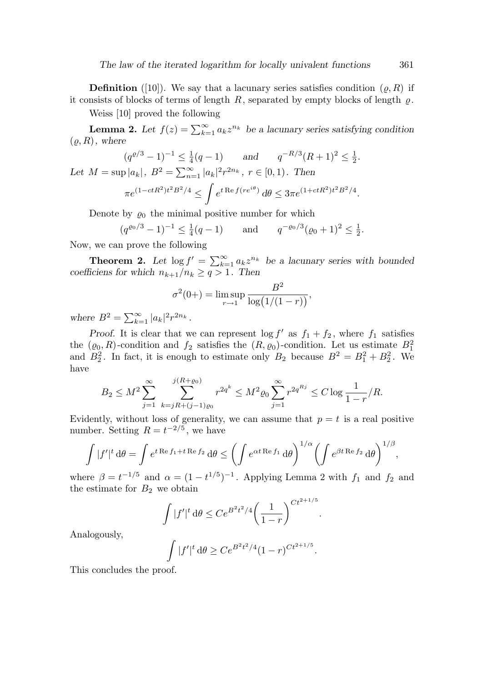**Definition** ([10]). We say that a lacunary series satisfies condition  $(\rho, R)$  if it consists of blocks of terms of length  $R$ , separated by empty blocks of length  $\varrho$ .

Weiss [10] proved the following

**Lemma 2.** Let  $f(z) = \sum_{k=1}^{\infty} a_k z^{n_k}$  be a lacunary series satisfying condition  $(\varrho, R)$ , where

$$
(q^{\varrho/3} - 1)^{-1} \le \frac{1}{4}(q - 1) \quad \text{and} \quad q^{-R/3}(R + 1)^2 \le \frac{1}{2}.
$$
  
Let  $M = \sup |a_k|$ ,  $B^2 = \sum_{n=1}^{\infty} |a_k|^2 r^{2n_k}$ ,  $r \in [0, 1)$ . Then  

$$
\pi e^{(1 - ctR^2)t^2 B^2/4} \le \int e^{t \operatorname{Re} f(re^{i\theta})} d\theta \le 3\pi e^{(1 + ctR^2)t^2 B^2/4}.
$$

Denote by  $\varrho_0$  the minimal positive number for which

$$
(q^{\varrho_0/3} - 1)^{-1} \le \frac{1}{4}(q - 1)
$$
 and  $q^{-\varrho_0/3}(\varrho_0 + 1)^2 \le \frac{1}{2}$ .

Now, we can prove the following

**Theorem 2.** Let  $\log f' = \sum_{k=1}^{\infty} a_k z^{n_k}$  be a lacunary series with bounded coefficiens for which  $n_{k+1}/n_k \ge q > 1$ . Then

$$
\sigma^{2}(0+) = \limsup_{r \to 1} \frac{B^{2}}{\log(1/(1-r))},
$$

where  $B^2 = \sum_{k=1}^{\infty} |a_k|^2 r^{2n_k}$ .

Proof. It is clear that we can represent  $\log f'$  as  $f_1 + f_2$ , where  $f_1$  satisfies the  $(\varrho_0, R)$ -condition and  $f_2$  satisfies the  $(R, \varrho_0)$ -condition. Let us estimate  $B_1^2$ and  $B_2^2$ . In fact, it is enough to estimate only  $B_2$  because  $B^2 = B_1^2 + B_2^2$ . We have

$$
B_2 \le M^2 \sum_{j=1}^{\infty} \sum_{k=jR+(j-1)\varrho_0}^{j(R+\varrho_0)} r^{2q^k} \le M^2 \varrho_0 \sum_{j=1}^{\infty} r^{2q^{Rj}} \le C \log \frac{1}{1-r} / R.
$$

Evidently, without loss of generality, we can assume that  $p = t$  is a real positive number. Setting  $R = t^{-2/5}$ , we have

$$
\int |f'|^t d\theta = \int e^{t \operatorname{Re} f_1 + t \operatorname{Re} f_2} d\theta \le \left( \int e^{\alpha t \operatorname{Re} f_1} d\theta \right)^{1/\alpha} \left( \int e^{\beta t \operatorname{Re} f_2} d\theta \right)^{1/\beta},
$$

where  $\beta = t^{-1/5}$  and  $\alpha = (1 - t^{1/5})^{-1}$ . Applying Lemma 2 with  $f_1$  and  $f_2$  and the estimate for  $B_2$  we obtain

$$
\int |f'|^t \, d\theta \le Ce^{B^2 t^2/4} \left(\frac{1}{1-r}\right)^{Ct^{2+1/5}}
$$

.

Analogously,

$$
\int |f'|^t \, \mathrm{d}\theta \ge Ce^{B^2 t^2/4} (1-r)^{Ct^{2+1/5}}.
$$

This concludes the proof.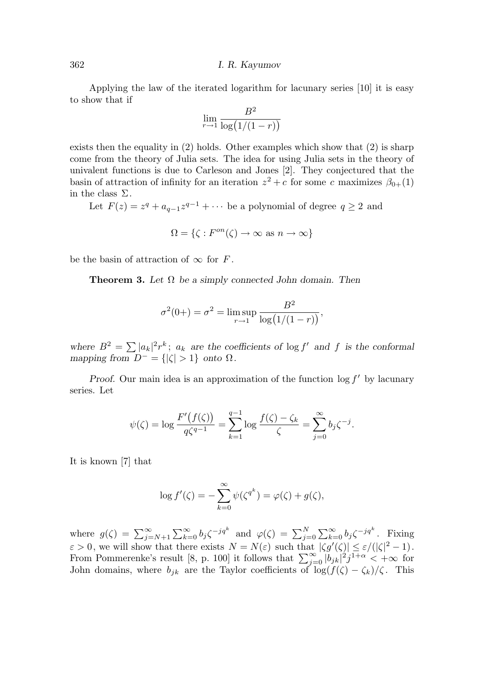362 I. R. Kayumov

Applying the law of the iterated logarithm for lacunary series [10] it is easy to show that if

$$
\lim_{r \to 1} \frac{B^2}{\log(1/(1-r))}
$$

exists then the equality in  $(2)$  holds. Other examples which show that  $(2)$  is sharp come from the theory of Julia sets. The idea for using Julia sets in the theory of univalent functions is due to Carleson and Jones [2]. They conjectured that the basin of attraction of infinity for an iteration  $z^2 + c$  for some c maximizes  $\beta_{0+}(1)$ in the class  $\Sigma$ .

Let  $F(z) = z^q + a_{q-1}z^{q-1} + \cdots$  be a polynomial of degree  $q \ge 2$  and

$$
\Omega = \{ \zeta : F^{on}(\zeta) \to \infty \text{ as } n \to \infty \}
$$

be the basin of attraction of  $\infty$  for F.

**Theorem 3.** Let  $\Omega$  be a simply connected John domain. Then

$$
\sigma^{2}(0+) = \sigma^{2} = \limsup_{r \to 1} \frac{B^{2}}{\log(1/(1-r))},
$$

where  $B^2 = \sum |a_k|^2 r^k$ ;  $a_k$  are the coefficients of log f' and f is the conformal mapping from  $D^- = \{ |\zeta| > 1 \}$  onto  $\Omega$ .

Proof. Our main idea is an approximation of the function  $\log f'$  by lacunary series. Let

$$
\psi(\zeta) = \log \frac{F'(f(\zeta))}{q\zeta^{q-1}} = \sum_{k=1}^{q-1} \log \frac{f(\zeta) - \zeta_k}{\zeta} = \sum_{j=0}^{\infty} b_j \zeta^{-j}.
$$

It is known [7] that

$$
\log f'(\zeta) = -\sum_{k=0}^{\infty} \psi(\zeta^{q^k}) = \varphi(\zeta) + g(\zeta),
$$

where  $g(\zeta) = \sum_{j=N+1}^{\infty} \sum_{k=0}^{\infty} b_j \zeta^{-jq^k}$  and  $\varphi(\zeta) = \sum_{j=0}^{N} \sum_{k=0}^{\infty} b_j \zeta^{-jq^k}$ . Fixing  $\varepsilon > 0$ , we will show that there exists  $N = N(\varepsilon)$  such that  $|\zeta g'(\zeta)| \leq \varepsilon/(|\zeta|^2 - 1)$ . From Pommerenke's result [8, p. 100] it follows that  $\sum_{j=0}^{\infty} |b_{jk}|^2 j^{1+\alpha} < +\infty$  for John domains, where  $b_{jk}$  are the Taylor coefficients of  $\log(f(\zeta) - \zeta_k)/\zeta$ . This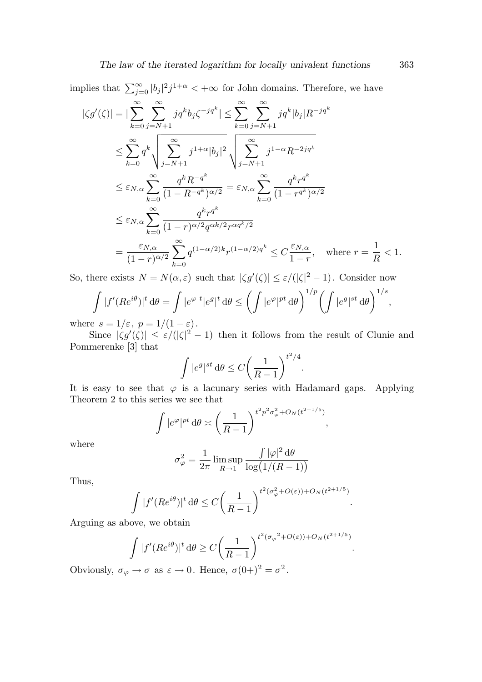implies that  $\sum_{j=0}^{\infty} |b_j|^2 j^{1+\alpha} < +\infty$  for John domains. Therefore, we have

$$
|\zeta g'(\zeta)| = |\sum_{k=0}^{\infty} \sum_{j=N+1}^{\infty} j q^k b_j \zeta^{-jq^k}| \le \sum_{k=0}^{\infty} \sum_{j=N+1}^{\infty} j q^k |b_j| R^{-jq^k}
$$
  
\n
$$
\le \sum_{k=0}^{\infty} q^k \sqrt{\sum_{j=N+1}^{\infty} j^{1+\alpha} |b_j|^2} \sqrt{\sum_{j=N+1}^{\infty} j^{1-\alpha} R^{-2jq^k}}
$$
  
\n
$$
\le \varepsilon_{N,\alpha} \sum_{k=0}^{\infty} \frac{q^k R^{-q^k}}{(1 - R^{-q^k})^{\alpha/2}} = \varepsilon_{N,\alpha} \sum_{k=0}^{\infty} \frac{q^k r^{q^k}}{(1 - r^{q^k})^{\alpha/2}}
$$
  
\n
$$
\le \varepsilon_{N,\alpha} \sum_{k=0}^{\infty} \frac{q^k r^{q^k}}{(1 - r)^{\alpha/2} q^{\alpha k/2} r^{\alpha q^k/2}}
$$
  
\n
$$
= \frac{\varepsilon_{N,\alpha}}{(1 - r)^{\alpha/2}} \sum_{k=0}^{\infty} q^{(1 - \alpha/2)k} r^{(1 - \alpha/2)q^k} \le C \frac{\varepsilon_{N,\alpha}}{1 - r}, \text{ where } r = \frac{1}{R} < 1.
$$

So, there exists  $N = N(\alpha, \varepsilon)$  such that  $|\zeta g'(\zeta)| \leq \varepsilon/(|\zeta|^2 - 1)$ . Consider now

$$
\int |f'(Re^{i\theta})|^t d\theta = \int |e^{\varphi}|^t |e^g|^t d\theta \le \left(\int |e^{\varphi}|^{pt} d\theta\right)^{1/p} \left(\int |e^g|^{st} d\theta\right)^{1/s},
$$

where  $s = 1/\varepsilon$ ,  $p = 1/(1-\varepsilon)$ .

Since  $|\zeta g'(\zeta)| \leq \varepsilon/(|\zeta|^2 - 1)$  then it follows from the result of Clunie and Pommerenke [3] that

$$
\int |e^g|^{st} \, \mathrm{d}\theta \le C \bigg(\frac{1}{R-1}\bigg)^{t^2/4}.
$$

It is easy to see that  $\varphi$  is a lacunary series with Hadamard gaps. Applying Theorem 2 to this series we see that

$$
\int |e^{\varphi}|^{pt} d\theta \asymp \left(\frac{1}{R-1}\right)^{t^2 p^2 \sigma_{\varphi}^2 + O_N(t^{2+1/5})},
$$

where

$$
\sigma_{\varphi}^2 = \frac{1}{2\pi} \limsup_{R \to 1} \frac{\int |\varphi|^2 d\theta}{\log(1/(R-1))}
$$

Thus,

$$
\int |f'(Re^{i\theta})|^t d\theta \le C \bigg(\frac{1}{R-1}\bigg)^{t^2(\sigma_{\varphi}^2 + O(\varepsilon)) + O_N(t^{2+1/5})}.
$$

Arguing as above, we obtain

$$
\int |f'(Re^{i\theta})|^t d\theta \ge C \left(\frac{1}{R-1}\right)^{t^2(\sigma_\varphi^2 + O(\varepsilon)) + O_N(t^{2+1/5})}
$$

.

Obviously,  $\sigma_{\varphi} \to \sigma$  as  $\varepsilon \to 0$ . Hence,  $\sigma(0+)^2 = \sigma^2$ .